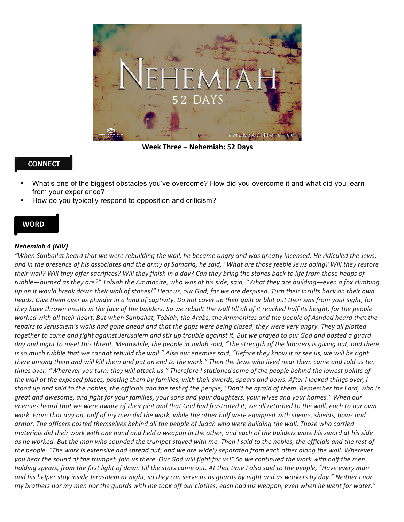

**Week Three – Nehemiah: 52 Days**

## **CONNECT**

- What's one of the biggest obstacles you've overcome? How did you overcome it and what did you learn from your experience?
- How do you typically respond to opposition and criticism?

#### **WORD**

#### *Nehemiah 4 (NIV)*

*"When Sanballat heard that we were rebuilding the wall, he became angry and was greatly incensed. He ridiculed the Jews,*  and in the presence of his associates and the army of Samaria, he said, "What are those feeble Jews doing? Will they restore their wall? Will they offer sacrifices? Will they finish in a day? Can they bring the stones back to life from those heaps of rubble—burned as they are?" Tobiah the Ammonite, who was at his side, said, "What they are building—even a fox climbing up on it would break down their wall of stones!" Hear us, our God, for we are despised. Turn their insults back on their own *heads.* Give them over as plunder in a land of captivity. Do not cover up their guilt or blot out their sins from your sight, for they have thrown insults in the face of the builders. So we rebuilt the wall till all of it reached half its height, for the people worked with all their heart. But when Sanballat, Tobiah, the Arabs, the Ammonites and the people of Ashdod heard that the repairs to Jerusalem's walls had gone ahead and that the gaps were being closed, they were very angry. They all plotted together to come and fight against Jerusalem and stir up trouble against it. But we prayed to our God and posted a guard day and night to meet this threat. Meanwhile, the people in Judah said, "The strength of the laborers is giving out, and there *is* so much rubble that we cannot rebuild the wall." Also our enemies said, "Before they know it or see us, we will be right there among them and will kill them and put an end to the work." Then the Jews who lived near them came and told us ten times over, "Wherever you turn, they will attack us." Therefore I stationed some of the people behind the lowest points of the wall at the exposed places, posting them by families, with their swords, spears and bows. After I looked things over, I stood up and said to the nobles, the officials and the rest of the people, "Don't be afraid of them. Remember the Lord, who is great and awesome, and fight for your families, your sons and your daughters, your wives and your homes." When our enemies heard that we were aware of their plot and that God had frustrated it, we all returned to the wall, each to our own work. From that day on, half of my men did the work, while the other half were equipped with spears, shields, bows and armor. The officers posted themselves behind all the people of Judah who were building the wall. Those who carried *materials did their work with one hand and held a weapon in the other, and each of the builders wore his sword at his side* as he worked. But the man who sounded the trumpet stayed with me. Then I said to the nobles, the officials and the rest of the people, "The work is extensive and spread out, and we are widely separated from each other along the wall. Wherever you hear the sound of the trumpet, join us there. Our God will fight for us!" So we continued the work with half the men *holding* spears, from the first light of dawn till the stars came out. At that time I also said to the people, "Have every man and his helper stay inside Jerusalem at night, so they can serve us as guards by night and as workers by day." Neither I nor my brothers nor my men nor the guards with me took off our clothes; each had his weapon, even when he went for water."